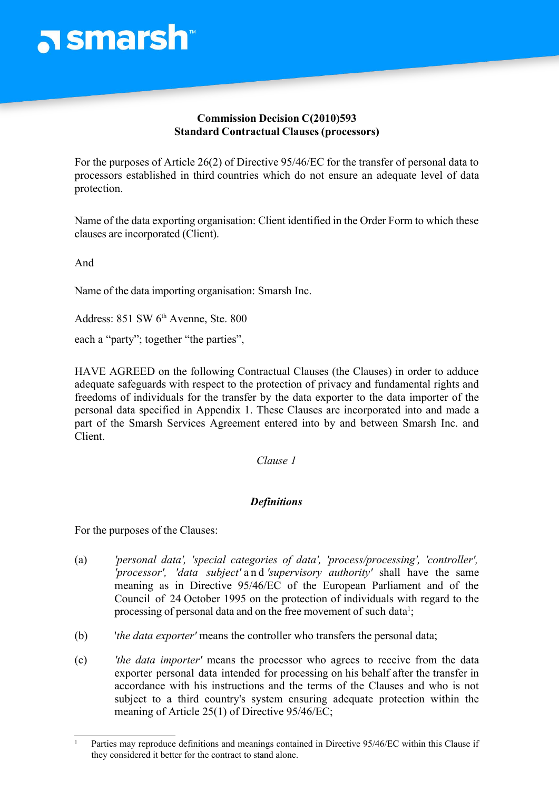# **Tsmarsh**

# **Commission Decision C(2010)593 Standard Contractual Clauses (processors)**

For the purposes of Article 26(2) of Directive 95/46/EC for the transfer of personal data to processors established in third countries which do not ensure an adequate level of data protection.

Name of the data exporting organisation: Client identified in the Order Form to which these clauses are incorporated (Client).

And

Name of the data importing organisation: Smarsh Inc.

Address:  $851$  SW  $6<sup>th</sup>$  Avenne, Ste.  $800$ 

each a "party"; together "the parties",

HAVE AGREED on the following Contractual Clauses (the Clauses) in order to adduce adequate safeguards with respect to the protection of privacy and fundamental rights and freedoms of individuals for the transfer by the data exporter to the data importer of the personal data specified in Appendix 1. These Clauses are incorporated into and made a part of the Smarsh Services Agreement entered into by and between Smarsh Inc. and Client.

# *Clause 1*

# *Definitions*

For the purposes of the Clauses:

- (a) *'personal data', 'special categories of data', 'process/processing', 'controller', 'processor', 'data subject'* and *'supervisory authority'* shall have the same meaning as in Directive 95/46/EC of the European Parliament and of the Council of 24 October 1995 on the protection of individuals with regard to the processing of personal data and on the free movement of such data<sup>1</sup>;
- (b) '*the data exporter'* means the controller who transfers the personal data;
- (c) *'the data importer'* means the processor who agrees to receive from the data exporter personal data intended for processing on his behalf after the transfer in accordance with his instructions and the terms of the Clauses and who is not subject to a third country's system ensuring adequate protection within the meaning of Article 25(1) of Directive 95/46/EC;

Parties may reproduce definitions and meanings contained in Directive 95/46/EC within this Clause if they considered it better for the contract to stand alone.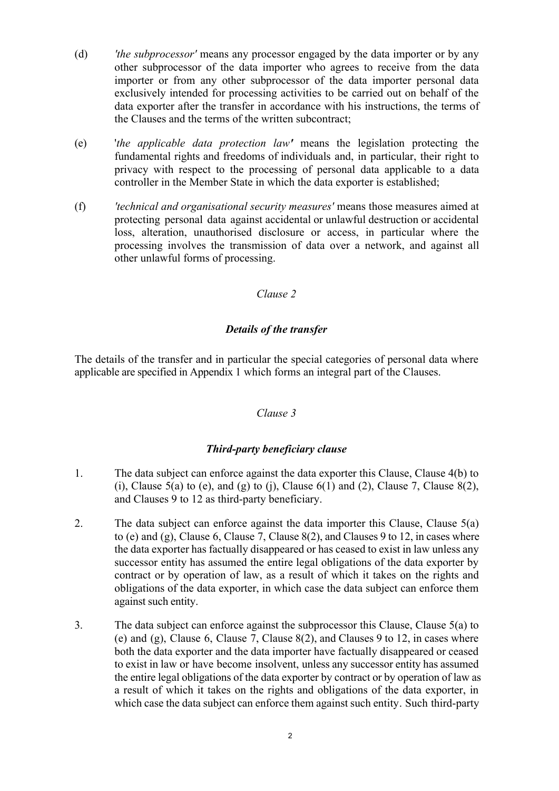- (d) *'the subprocessor'* means any processor engaged by the data importer or by any other subprocessor of the data importer who agrees to receive from the data importer or from any other subprocessor of the data importer personal data exclusively intended for processing activities to be carried out on behalf of the data exporter after the transfer in accordance with his instructions, the terms of the Clauses and the terms of the written subcontract;
- (e) '*the applicable data protection law'* means the legislation protecting the fundamental rights and freedoms of individuals and, in particular, their right to privacy with respect to the processing of personal data applicable to a data controller in the Member State in which the data exporter is established;
- (f) *'technical and organisational security measures'* means those measures aimed at protecting personal data against accidental or unlawful destruction or accidental loss, alteration, unauthorised disclosure or access, in particular where the processing involves the transmission of data over a network, and against all other unlawful forms of processing.

# *Details of the transfer*

The details of the transfer and in particular the special categories of personal data where applicable are specified in Appendix 1 which forms an integral part of the Clauses.

# *Clause 3*

# *Third-party beneficiary clause*

- 1. The data subject can enforce against the data exporter this Clause, Clause 4(b) to (i), Clause 5(a) to (e), and (g) to (j), Clause 6(1) and (2), Clause 7, Clause 8(2), and Clauses 9 to 12 as third-party beneficiary.
- 2. The data subject can enforce against the data importer this Clause, Clause 5(a) to (e) and (g), Clause 6, Clause 7, Clause 8(2), and Clauses 9 to 12, in cases where the data exporter has factually disappeared or has ceased to exist in law unless any successor entity has assumed the entire legal obligations of the data exporter by contract or by operation of law, as a result of which it takes on the rights and obligations of the data exporter, in which case the data subject can enforce them against such entity.
- 3. The data subject can enforce against the subprocessor this Clause, Clause 5(a) to (e) and (g), Clause 6, Clause 7, Clause 8(2), and Clauses 9 to 12, in cases where both the data exporter and the data importer have factually disappeared or ceased to exist in law or have become insolvent, unless any successor entity has assumed the entire legal obligations of the data exporter by contract or by operation of law as a result of which it takes on the rights and obligations of the data exporter, in which case the data subject can enforce them against such entity. Such third-party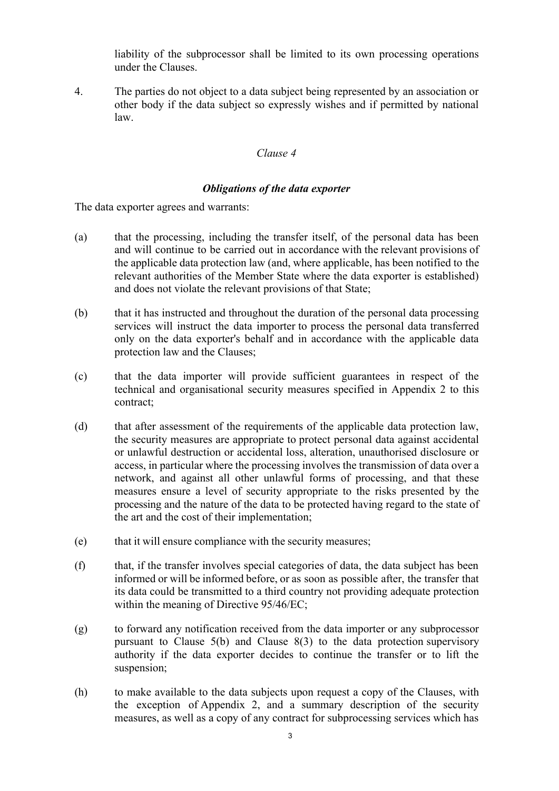liability of the subprocessor shall be limited to its own processing operations under the Clauses.

4. The parties do not object to a data subject being represented by an association or other body if the data subject so expressly wishes and if permitted by national law.

## *Clause 4*

### *Obligations of the data exporter*

The data exporter agrees and warrants:

- (a) that the processing, including the transfer itself, of the personal data has been and will continue to be carried out in accordance with the relevant provisions of the applicable data protection law (and, where applicable, has been notified to the relevant authorities of the Member State where the data exporter is established) and does not violate the relevant provisions of that State;
- (b) that it has instructed and throughout the duration of the personal data processing services will instruct the data importer to process the personal data transferred only on the data exporter's behalf and in accordance with the applicable data protection law and the Clauses;
- (c) that the data importer will provide sufficient guarantees in respect of the technical and organisational security measures specified in Appendix 2 to this contract;
- (d) that after assessment of the requirements of the applicable data protection law, the security measures are appropriate to protect personal data against accidental or unlawful destruction or accidental loss, alteration, unauthorised disclosure or access, in particular where the processing involves the transmission of data over a network, and against all other unlawful forms of processing, and that these measures ensure a level of security appropriate to the risks presented by the processing and the nature of the data to be protected having regard to the state of the art and the cost of their implementation;
- (e) that it will ensure compliance with the security measures;
- (f) that, if the transfer involves special categories of data, the data subject has been informed or will be informed before, or as soon as possible after, the transfer that its data could be transmitted to a third country not providing adequate protection within the meaning of Directive 95/46/EC;
- (g) to forward any notification received from the data importer or any subprocessor pursuant to Clause 5(b) and Clause 8(3) to the data protection supervisory authority if the data exporter decides to continue the transfer or to lift the suspension;
- (h) to make available to the data subjects upon request a copy of the Clauses, with the exception of Appendix 2, and a summary description of the security measures, as well as a copy of any contract for subprocessing services which has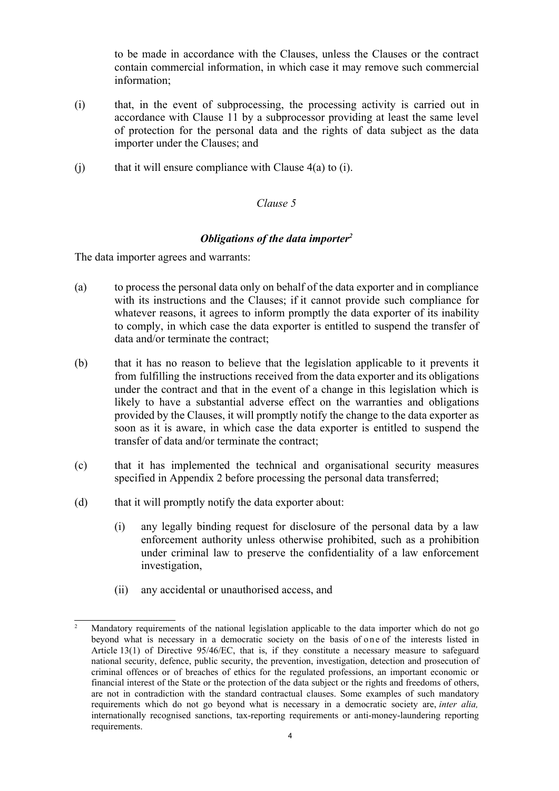to be made in accordance with the Clauses, unless the Clauses or the contract contain commercial information, in which case it may remove such commercial information;

- (i) that, in the event of subprocessing, the processing activity is carried out in accordance with Clause 11 by a subprocessor providing at least the same level of protection for the personal data and the rights of data subject as the data importer under the Clauses; and
- $(i)$  that it will ensure compliance with Clause 4(a) to (i).

# *Clause 5*

# *Obligations of the data importer2*

The data importer agrees and warrants:

- (a) to process the personal data only on behalf of the data exporter and in compliance with its instructions and the Clauses; if it cannot provide such compliance for whatever reasons, it agrees to inform promptly the data exporter of its inability to comply, in which case the data exporter is entitled to suspend the transfer of data and/or terminate the contract;
- (b) that it has no reason to believe that the legislation applicable to it prevents it from fulfilling the instructions received from the data exporter and its obligations under the contract and that in the event of a change in this legislation which is likely to have a substantial adverse effect on the warranties and obligations provided by the Clauses, it will promptly notify the change to the data exporter as soon as it is aware, in which case the data exporter is entitled to suspend the transfer of data and/or terminate the contract;
- (c) that it has implemented the technical and organisational security measures specified in Appendix 2 before processing the personal data transferred;
- (d) that it will promptly notify the data exporter about:
	- (i) any legally binding request for disclosure of the personal data by a law enforcement authority unless otherwise prohibited, such as a prohibition under criminal law to preserve the confidentiality of a law enforcement investigation,
	- (ii) any accidental or unauthorised access, and

<sup>2</sup> Mandatory requirements of the national legislation applicable to the data importer which do not go beyond what is necessary in a democratic society on the basis of one of the interests listed in Article 13(1) of Directive 95/46/EC, that is, if they constitute a necessary measure to safeguard national security, defence, public security, the prevention, investigation, detection and prosecution of criminal offences or of breaches of ethics for the regulated professions, an important economic or financial interest of the State or the protection of the data subject or the rights and freedoms of others, are not in contradiction with the standard contractual clauses. Some examples of such mandatory requirements which do not go beyond what is necessary in a democratic society are, *inter alia,* internationally recognised sanctions, tax-reporting requirements or anti-money-laundering reporting requirements.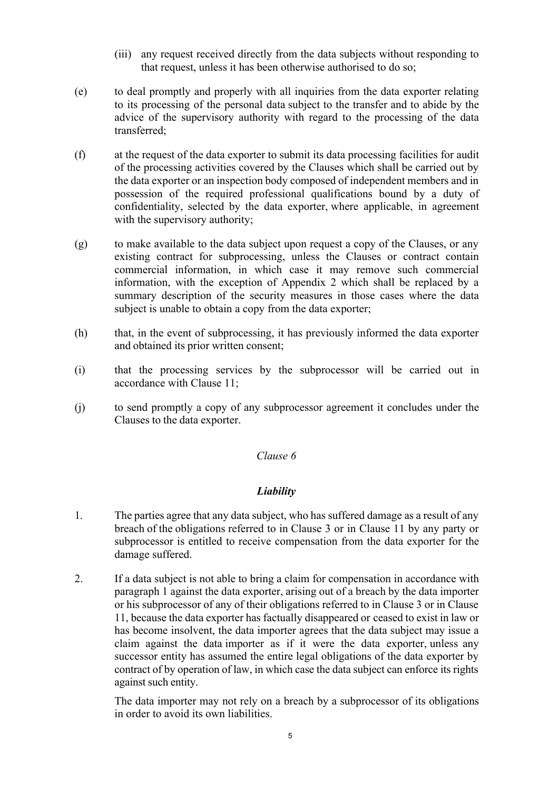- (iii) any request received directly from the data subjects without responding to that request, unless it has been otherwise authorised to do so;
- (e) to deal promptly and properly with all inquiries from the data exporter relating to its processing of the personal data subject to the transfer and to abide by the advice of the supervisory authority with regard to the processing of the data transferred;
- (f) at the request of the data exporter to submit its data processing facilities for audit of the processing activities covered by the Clauses which shall be carried out by the data exporter or an inspection body composed of independent members and in possession of the required professional qualifications bound by a duty of confidentiality, selected by the data exporter, where applicable, in agreement with the supervisory authority;
- (g) to make available to the data subject upon request a copy of the Clauses, or any existing contract for subprocessing, unless the Clauses or contract contain commercial information, in which case it may remove such commercial information, with the exception of Appendix 2 which shall be replaced by a summary description of the security measures in those cases where the data subject is unable to obtain a copy from the data exporter;
- (h) that, in the event of subprocessing, it has previously informed the data exporter and obtained its prior written consent;
- (i) that the processing services by the subprocessor will be carried out in accordance with Clause 11;
- (j) to send promptly a copy of any subprocessor agreement it concludes under the Clauses to the data exporter.

## *Liability*

- 1. The parties agree that any data subject, who has suffered damage as a result of any breach of the obligations referred to in Clause 3 or in Clause 11 by any party or subprocessor is entitled to receive compensation from the data exporter for the damage suffered.
- 2. If a data subject is not able to bring a claim for compensation in accordance with paragraph 1 against the data exporter, arising out of a breach by the data importer or his subprocessor of any of their obligations referred to in Clause 3 or in Clause 11, because the data exporter has factually disappeared or ceased to exist in law or has become insolvent, the data importer agrees that the data subject may issue a claim against the data importer as if it were the data exporter, unless any successor entity has assumed the entire legal obligations of the data exporter by contract of by operation of law, in which case the data subject can enforce its rights against such entity.

The data importer may not rely on a breach by a subprocessor of its obligations in order to avoid its own liabilities.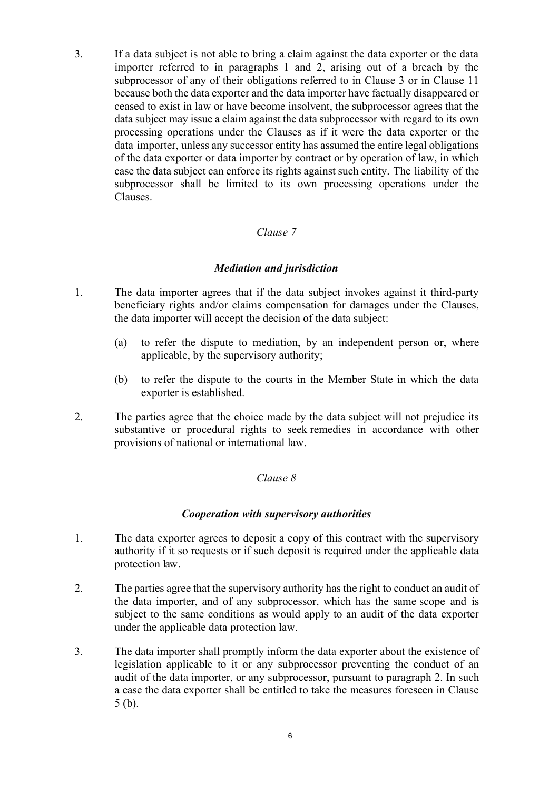3. If a data subject is not able to bring a claim against the data exporter or the data importer referred to in paragraphs 1 and 2, arising out of a breach by the subprocessor of any of their obligations referred to in Clause 3 or in Clause 11 because both the data exporter and the data importer have factually disappeared or ceased to exist in law or have become insolvent, the subprocessor agrees that the data subject may issue a claim against the data subprocessor with regard to its own processing operations under the Clauses as if it were the data exporter or the data importer, unless any successor entity has assumed the entire legal obligations of the data exporter or data importer by contract or by operation of law, in which case the data subject can enforce its rights against such entity. The liability of the subprocessor shall be limited to its own processing operations under the Clauses.

# *Clause 7*

## *Mediation and jurisdiction*

- 1. The data importer agrees that if the data subject invokes against it third-party beneficiary rights and/or claims compensation for damages under the Clauses, the data importer will accept the decision of the data subject:
	- (a) to refer the dispute to mediation, by an independent person or, where applicable, by the supervisory authority;
	- (b) to refer the dispute to the courts in the Member State in which the data exporter is established.
- 2. The parties agree that the choice made by the data subject will not prejudice its substantive or procedural rights to seek remedies in accordance with other provisions of national or international law.

## *Clause 8*

#### *Cooperation with supervisory authorities*

- 1. The data exporter agrees to deposit a copy of this contract with the supervisory authority if it so requests or if such deposit is required under the applicable data protection law.
- 2. The parties agree that the supervisory authority has the right to conduct an audit of the data importer, and of any subprocessor, which has the same scope and is subject to the same conditions as would apply to an audit of the data exporter under the applicable data protection law.
- 3. The data importer shall promptly inform the data exporter about the existence of legislation applicable to it or any subprocessor preventing the conduct of an audit of the data importer, or any subprocessor, pursuant to paragraph 2. In such a case the data exporter shall be entitled to take the measures foreseen in Clause 5 (b).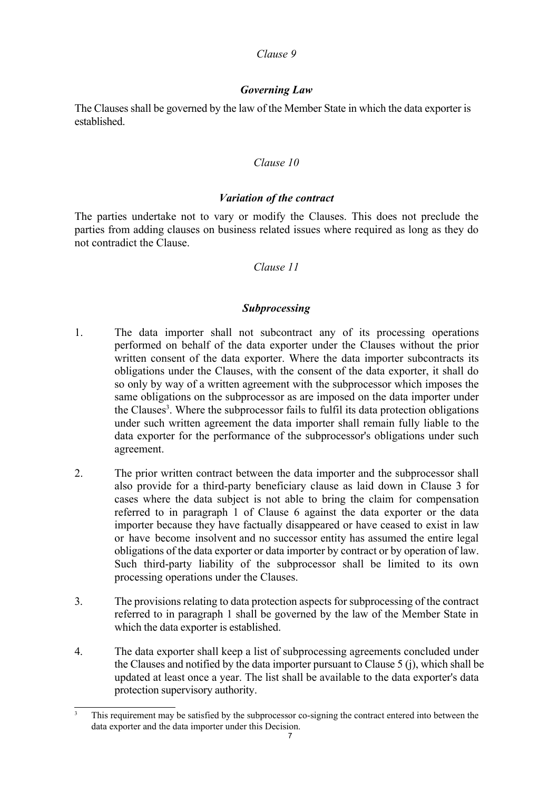# *Governing Law*

The Clauses shall be governed by the law of the Member State in which the data exporter is established.

# *Clause 10*

# *Variation of the contract*

The parties undertake not to vary or modify the Clauses. This does not preclude the parties from adding clauses on business related issues where required as long as they do not contradict the Clause.

# *Clause 11*

# *Subprocessing*

- 1. The data importer shall not subcontract any of its processing operations performed on behalf of the data exporter under the Clauses without the prior written consent of the data exporter. Where the data importer subcontracts its obligations under the Clauses, with the consent of the data exporter, it shall do so only by way of a written agreement with the subprocessor which imposes the same obligations on the subprocessor as are imposed on the data importer under the Clauses<sup>3</sup>. Where the subprocessor fails to fulfil its data protection obligations under such written agreement the data importer shall remain fully liable to the data exporter for the performance of the subprocessor's obligations under such agreement.
- 2. The prior written contract between the data importer and the subprocessor shall also provide for a third-party beneficiary clause as laid down in Clause 3 for cases where the data subject is not able to bring the claim for compensation referred to in paragraph 1 of Clause 6 against the data exporter or the data importer because they have factually disappeared or have ceased to exist in law or have become insolvent and no successor entity has assumed the entire legal obligations of the data exporter or data importer by contract or by operation of law. Such third-party liability of the subprocessor shall be limited to its own processing operations under the Clauses.
- 3. The provisions relating to data protection aspects for subprocessing of the contract referred to in paragraph 1 shall be governed by the law of the Member State in which the data exporter is established.
- 4. The data exporter shall keep a list of subprocessing agreements concluded under the Clauses and notified by the data importer pursuant to Clause 5 (j), which shall be updated at least once a year. The list shall be available to the data exporter's data protection supervisory authority.

This requirement may be satisfied by the subprocessor co-signing the contract entered into between the data exporter and the data importer under this Decision.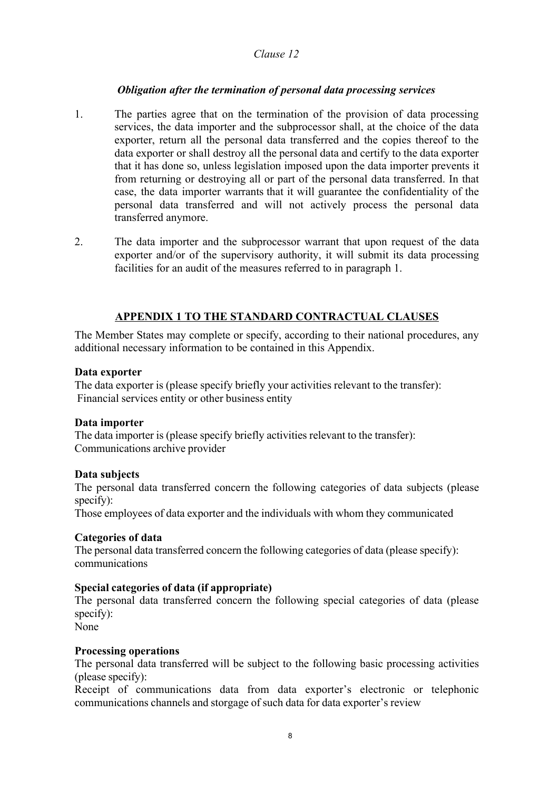# *Obligation after the termination of personal data processing services*

- 1. The parties agree that on the termination of the provision of data processing services, the data importer and the subprocessor shall, at the choice of the data exporter, return all the personal data transferred and the copies thereof to the data exporter or shall destroy all the personal data and certify to the data exporter that it has done so, unless legislation imposed upon the data importer prevents it from returning or destroying all or part of the personal data transferred. In that case, the data importer warrants that it will guarantee the confidentiality of the personal data transferred and will not actively process the personal data transferred anymore.
- 2. The data importer and the subprocessor warrant that upon request of the data exporter and/or of the supervisory authority, it will submit its data processing facilities for an audit of the measures referred to in paragraph 1.

## **APPENDIX 1 TO THE STANDARD CONTRACTUAL CLAUSES**

The Member States may complete or specify, according to their national procedures, any additional necessary information to be contained in this Appendix.

#### **Data exporter**

The data exporter is (please specify briefly your activities relevant to the transfer): Financial services entity or other business entity

## **Data importer**

The data importer is (please specify briefly activities relevant to the transfer): Communications archive provider

## **Data subjects**

The personal data transferred concern the following categories of data subjects (please specify):

Those employees of data exporter and the individuals with whom they communicated

## **Categories of data**

The personal data transferred concern the following categories of data (please specify): communications

## **Special categories of data (if appropriate)**

The personal data transferred concern the following special categories of data (please specify):

None

## **Processing operations**

The personal data transferred will be subject to the following basic processing activities (please specify):

Receipt of communications data from data exporter's electronic or telephonic communications channels and storgage of such data for data exporter's review